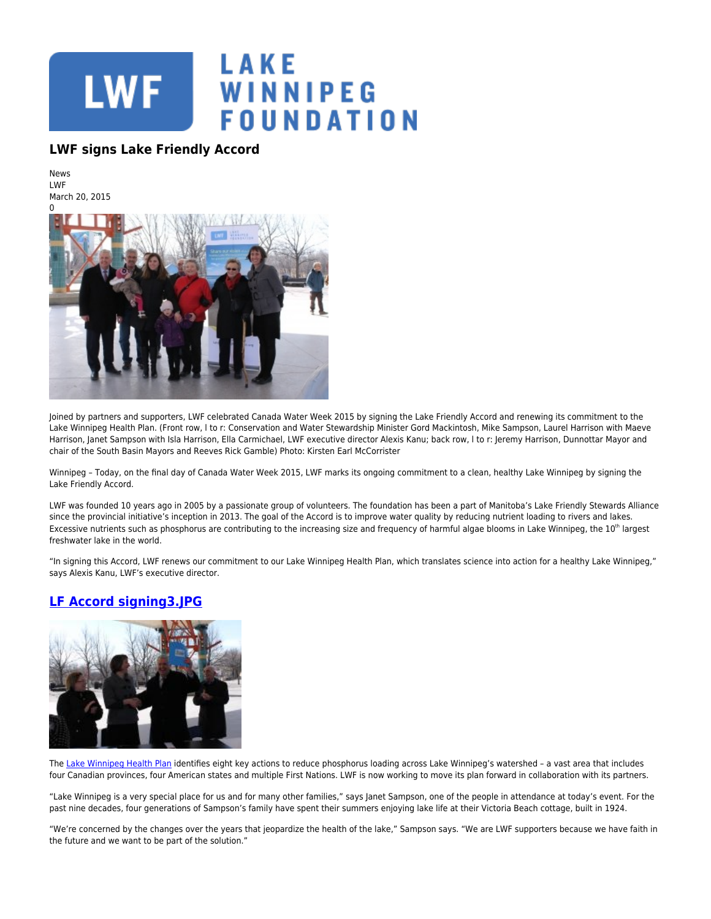

## **LWF signs Lake Friendly Accord**

News LWF March 20, 2015



Joined by partners and supporters, LWF celebrated Canada Water Week 2015 by signing the Lake Friendly Accord and renewing its commitment to the Lake Winnipeg Health Plan. (Front row, l to r: Conservation and Water Stewardship Minister Gord Mackintosh, Mike Sampson, Laurel Harrison with Maeve Harrison, Janet Sampson with Isla Harrison, Ella Carmichael, LWF executive director Alexis Kanu; back row, l to r: Jeremy Harrison, Dunnottar Mayor and chair of the South Basin Mayors and Reeves Rick Gamble) Photo: Kirsten Earl McCorrister

Winnipeg – Today, on the final day of Canada Water Week 2015, LWF marks its ongoing commitment to a clean, healthy Lake Winnipeg by signing the Lake Friendly Accord.

LWF was founded 10 years ago in 2005 by a passionate group of volunteers. The foundation has been a part of Manitoba's Lake Friendly Stewards Alliance since the provincial initiative's inception in 2013. The goal of the Accord is to improve water quality by reducing nutrient loading to rivers and lakes. Excessive nutrients such as phosphorus are contributing to the increasing size and frequency of harmful algae blooms in Lake Winnipeg, the  $10<sup>th</sup>$  largest freshwater lake in the world.

"In signing this Accord, LWF renews our commitment to our Lake Winnipeg Health Plan, which translates science into action for a healthy Lake Winnipeg," says Alexis Kanu, LWF's executive director.

## **[LF Accord signing3.JPG](https://lakewinnipegfoundation.org/file/lf-accord-signing3jpg)**



The [Lake Winnipeg Health Plan](http://www.lakewinnipegfoundation.org/lake-winnipeg-health-plan) identifies eight key actions to reduce phosphorus loading across Lake Winnipeg's watershed - a vast area that includes four Canadian provinces, four American states and multiple First Nations. LWF is now working to move its plan forward in collaboration with its partners.

"Lake Winnipeg is a very special place for us and for many other families," says Janet Sampson, one of the people in attendance at today's event. For the past nine decades, four generations of Sampson's family have spent their summers enjoying lake life at their Victoria Beach cottage, built in 1924.

"We're concerned by the changes over the years that jeopardize the health of the lake," Sampson says. "We are LWF supporters because we have faith in the future and we want to be part of the solution."